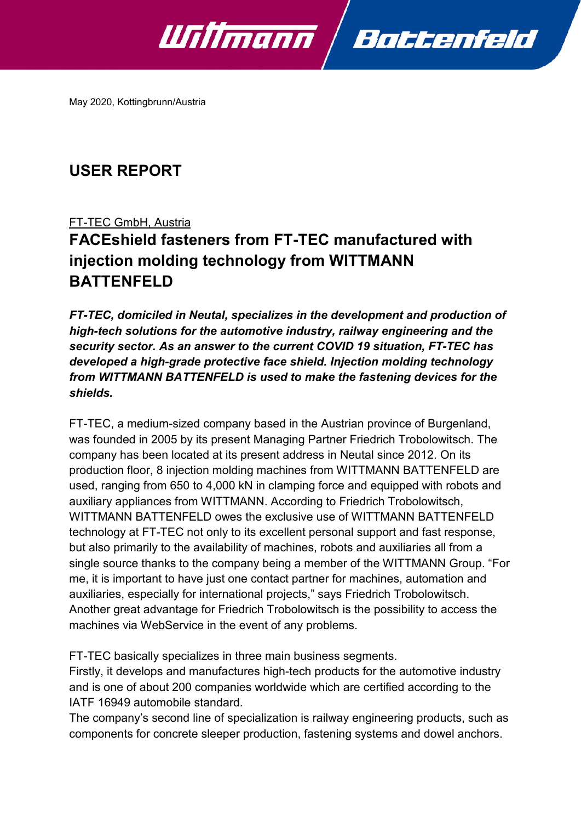

May 2020, Kottingbrunn/Austria

## **USER REPORT**

### FT-TEC GmbH, Austria

# **FACEshield fasteners from FT-TEC manufactured with injection molding technology from WITTMANN BATTENFELD**

*FT-TEC, domiciled in Neutal, specializes in the development and production of high-tech solutions for the automotive industry, railway engineering and the security sector. As an answer to the current COVID 19 situation, FT-TEC has developed a high-grade protective face shield. Injection molding technology from WITTMANN BATTENFELD is used to make the fastening devices for the shields.*

FT-TEC, a medium-sized company based in the Austrian province of Burgenland, was founded in 2005 by its present Managing Partner Friedrich Trobolowitsch. The company has been located at its present address in Neutal since 2012. On its production floor, 8 injection molding machines from WITTMANN BATTENFELD are used, ranging from 650 to 4,000 kN in clamping force and equipped with robots and auxiliary appliances from WITTMANN. According to Friedrich Trobolowitsch, WITTMANN BATTENFELD owes the exclusive use of WITTMANN BATTENFELD technology at FT-TEC not only to its excellent personal support and fast response, but also primarily to the availability of machines, robots and auxiliaries all from a single source thanks to the company being a member of the WITTMANN Group. "For me, it is important to have just one contact partner for machines, automation and auxiliaries, especially for international projects," says Friedrich Trobolowitsch. Another great advantage for Friedrich Trobolowitsch is the possibility to access the machines via WebService in the event of any problems.

FT-TEC basically specializes in three main business segments.

Firstly, it develops and manufactures high-tech products for the automotive industry and is one of about 200 companies worldwide which are certified according to the IATF 16949 automobile standard.

The company's second line of specialization is railway engineering products, such as components for concrete sleeper production, fastening systems and dowel anchors.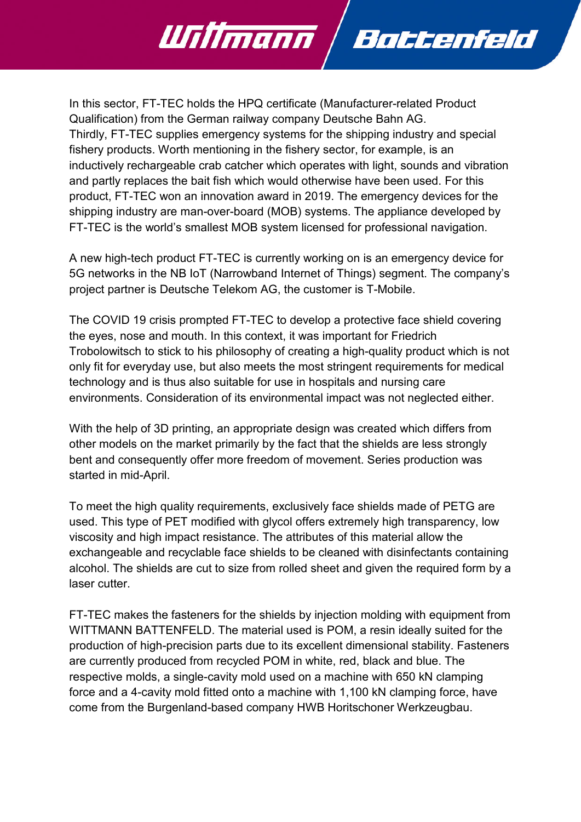In this sector, FT-TEC holds the HPQ certificate (Manufacturer-related Product Qualification) from the German railway company Deutsche Bahn AG. Thirdly, FT-TEC supplies emergency systems for the shipping industry and special fishery products. Worth mentioning in the fishery sector, for example, is an inductively rechargeable crab catcher which operates with light, sounds and vibration and partly replaces the bait fish which would otherwise have been used. For this product, FT-TEC won an innovation award in 2019. The emergency devices for the shipping industry are man-over-board (MOB) systems. The appliance developed by FT-TEC is the world's smallest MOB system licensed for professional navigation.

Battenfeld

Willmann

A new high-tech product FT-TEC is currently working on is an emergency device for 5G networks in the NB IoT (Narrowband Internet of Things) segment. The company's project partner is Deutsche Telekom AG, the customer is T-Mobile.

The COVID 19 crisis prompted FT-TEC to develop a protective face shield covering the eyes, nose and mouth. In this context, it was important for Friedrich Trobolowitsch to stick to his philosophy of creating a high-quality product which is not only fit for everyday use, but also meets the most stringent requirements for medical technology and is thus also suitable for use in hospitals and nursing care environments. Consideration of its environmental impact was not neglected either.

With the help of 3D printing, an appropriate design was created which differs from other models on the market primarily by the fact that the shields are less strongly bent and consequently offer more freedom of movement. Series production was started in mid-April.

To meet the high quality requirements, exclusively face shields made of PETG are used. This type of PET modified with glycol offers extremely high transparency, low viscosity and high impact resistance. The attributes of this material allow the exchangeable and recyclable face shields to be cleaned with disinfectants containing alcohol. The shields are cut to size from rolled sheet and given the required form by a laser cutter

FT-TEC makes the fasteners for the shields by injection molding with equipment from WITTMANN BATTENFELD. The material used is POM, a resin ideally suited for the production of high-precision parts due to its excellent dimensional stability. Fasteners are currently produced from recycled POM in white, red, black and blue. The respective molds, a single-cavity mold used on a machine with 650 kN clamping force and a 4-cavity mold fitted onto a machine with 1,100 kN clamping force, have come from the Burgenland-based company HWB Horitschoner Werkzeugbau.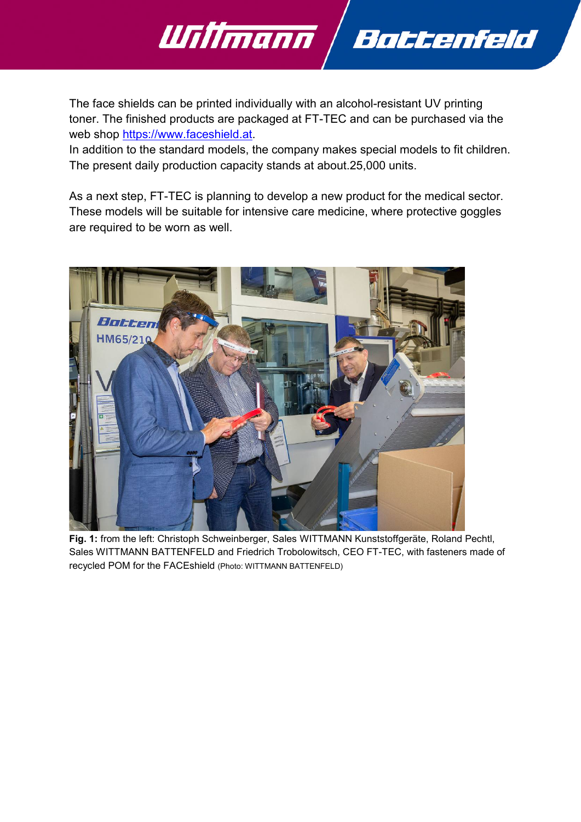

The face shields can be printed individually with an alcohol-resistant UV printing toner. The finished products are packaged at FT-TEC and can be purchased via the web shop [https://www.faceshield.at.](https://www.faceshield.at/)

In addition to the standard models, the company makes special models to fit children. The present daily production capacity stands at about.25,000 units.

As a next step, FT-TEC is planning to develop a new product for the medical sector. These models will be suitable for intensive care medicine, where protective goggles are required to be worn as well.



**Fig. 1:** from the left: Christoph Schweinberger, Sales WITTMANN Kunststoffgeräte, Roland Pechtl, Sales WITTMANN BATTENFELD and Friedrich Trobolowitsch, CEO FT-TEC, with fasteners made of recycled POM for the FACEshield (Photo: WITTMANN BATTENFELD)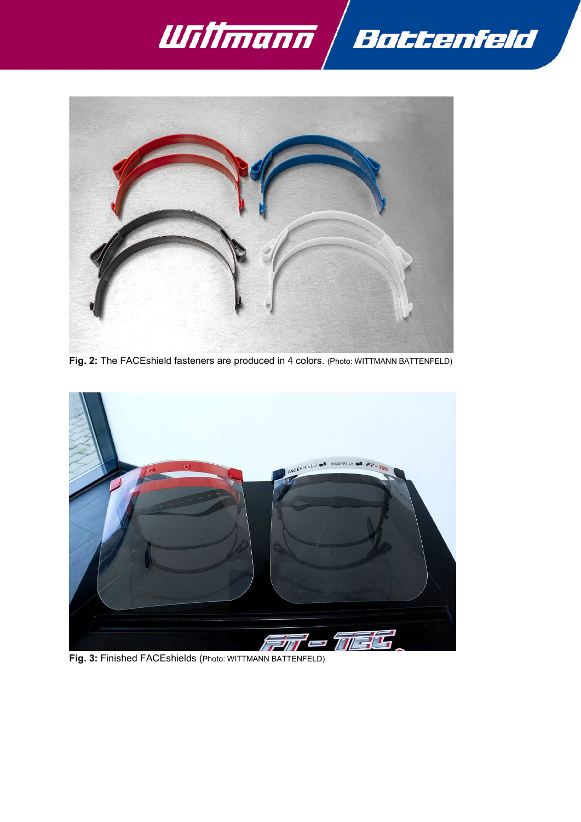



**Fig. 2:** The FACEshield fasteners are produced in 4 colors. (Photo: WITTMANN BATTENFELD)



**Fig. 3:** Finished FACEshields (Photo: WITTMANN BATTENFELD)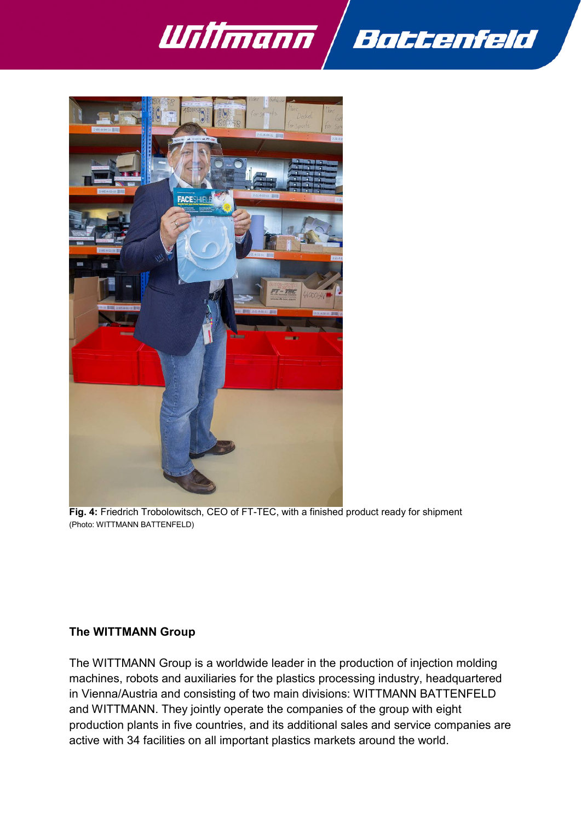



**Fig. 4:** Friedrich Trobolowitsch, CEO of FT-TEC, with a finished product ready for shipment (Photo: WITTMANN BATTENFELD)

#### **The WITTMANN Group**

The WITTMANN Group is a worldwide leader in the production of injection molding machines, robots and auxiliaries for the plastics processing industry, headquartered in Vienna/Austria and consisting of two main divisions: WITTMANN BATTENFELD and WITTMANN. They jointly operate the companies of the group with eight production plants in five countries, and its additional sales and service companies are active with 34 facilities on all important plastics markets around the world.